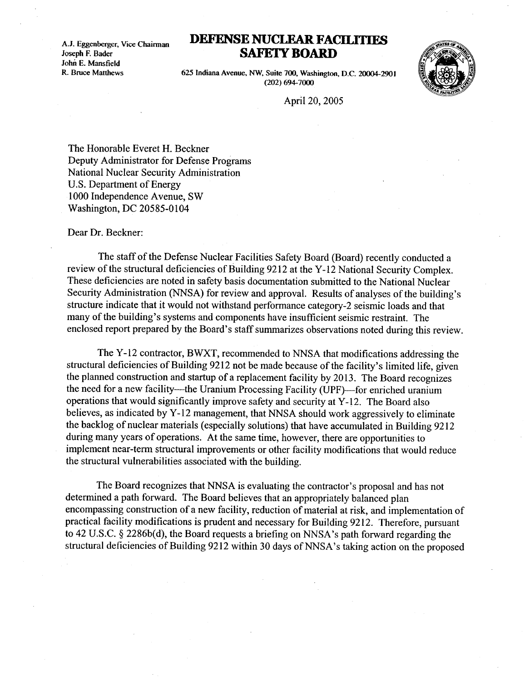Joseph F. Bader  $A.J. E<sub>1</sub>$ John E. Mansfield R. Bruce Matthews

## A.J. Eggenberger, Vice Chairman DEFENSE NUCLEAR FACILITIES SAFETY BOARD



625 Indiana Avenue, NW, Suite 700, Washington, D.C. 20004-2901 (202) 694-7000

April 20, 2005

The Honorable Everet H. Beckner Deputy Administrator for Defense Programs National Nuclear Security Administration U.S. Department of Energy 1000 Independence Avenue, SW Washington, DC 20585-0104

Dear Dr. Beckner:

The staff of the Defense Nuclear Facilities Safety Board (Board) recently conducted a review of the structural deficiencies of Building 9212 at the Y-12 National Security Complex . These deficiencies are noted in safety basis documentation submitted to the National Nuclear Security Administration (NNSA) for review and approval. Results of analyses of the building's structure indicate that it would not withstand performance category-2 seismic loads and that many of the building's systems and components have insufficient seismic restraint. The enclosed report prepared by the Board's staff summarizes observations noted during this review .

The Y- 12 contractor, BWXT, recommended to NNSA that modifications addressing the structural deficiencies of Building 9212 not be made because of the facility's limited life, given the planned construction and startup of a replacement facility by 2013 . The Board recognizes the need for a new facility-the Uranium Processing Facility (UPF)-for enriched uranium operations that would significantly improve safety and security at Y-12 . The Board also believes, as indicated by Y-12 management, that NNSA should work aggressively to eliminate the backlog of nuclear materials (especially solutions) that have accumulated in Building 9212 during many years of operations. At the same time, however, there are opportunities to implement near-term structural improvements or other facility modifications that would reduce the structural vulnerabilities associated with the building .

The Board recognizes that NNSA is evaluating the contractor's proposal and has not determined a path forward. The Board believes that an appropriately balanced plan encompassing construction of a new facility, reduction of material at risk, and implementation of practical facility modifications is prudent and necessary for Building 9212 . Therefore, pursuant to 42 U.S.C. § 2286b(d), the Board requests a briefing on NNSA's path forward regarding the structural deficiencies of Building 9212 within 30 days of NNSA's taking action on the proposed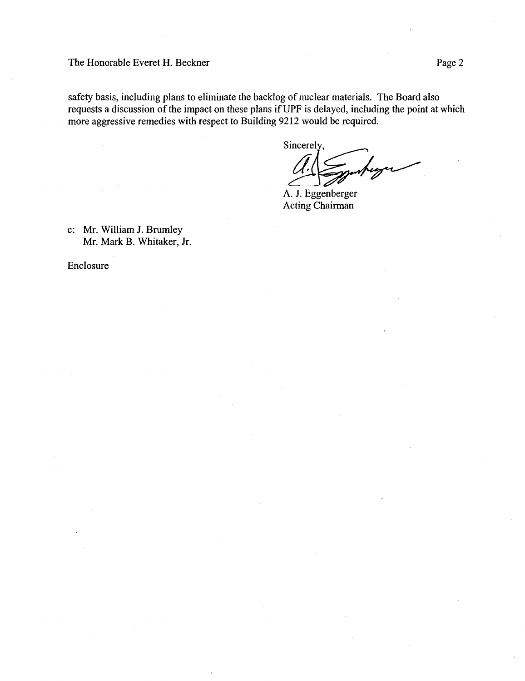## The Honorable Everet H. Beckner The Honor

safety basis, including plans to eliminate the backlog of nuclear materials. The Board also requests a discussion of the impact on these plans if UPF is delayed, including the point at which more aggressive remedies with respect to Building 9212 would be required.

Sincerely,

A. J. Eggenberger Acting Chairman

c: Mr. William J. Brumley Mr. Mark B. Whitaker, Jr.

Enclosure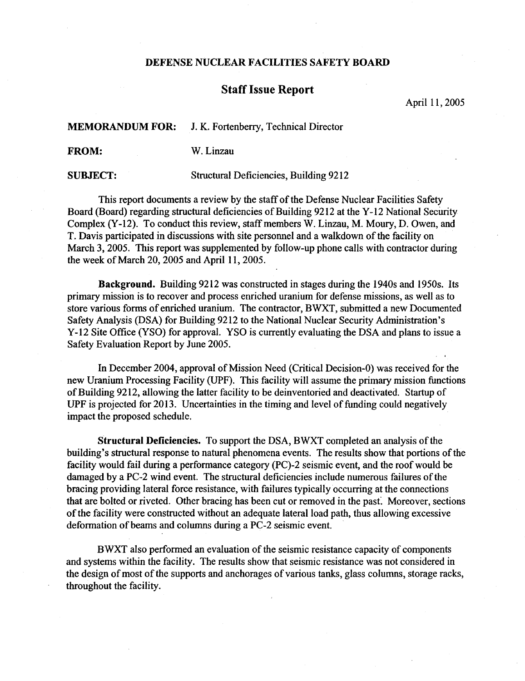## DEFENSE NUCLEAR FACILITIES SAFETY BOARD

## Staff Issue Report

April 11, 2005

**MEMORANDUM FOR:** J. K. Fortenberry, Technical Director

FROM: W. Linzau

SUBJECT: Structural Deficiencies, Building 9212

This report documents a review by the staff of the Defense Nuclear Facilities Safety Board (Board) regarding structural deficiencies of Building 9212 at the Y-12 National Security Complex (Y-12). To conduct this review, staff members W. Linzau, M. Moury, D. Owen, and T. Davis participated in discussions with site personnel and a walkdown of the facility on March 3, 2005. This report was supplemented by follow-up phone calls with contractor during the week of March 20, 2005 and April 11, 2005 .

Background. Building 9212 was constructed in stages during the 1940s and 1950s. Its primary mission is to recover and process enriched uranium for defense missions, as well as to store various forms of enriched uranium. The contractor, BWXT, submitted a new Documented Safety Analysis (DSA) for Building 9212 to the National Nuclear Security Administration's Y-12 Site Office (YSO) for approval. YSO is currently evaluating the DSA and plans to issue a Safety Evaluation Report by June 2005 .

In December 2004, approval of Mission Need (Critical Decision-0) was received for the new Uranium Processing Facility (UPF). This facility will assume the primary mission functions of Building 9212, allowing the latter facility to be deinventoried and deactivated . Startup of UPF is projected for 2013 . Uncertainties in the timing and level of funding could negatively impact the proposed schedule.

Structural Deficiencies . To support the DSA, BWXT completed an analysis of the building's structural response to natural phenomena events . The results show that portions of the facility would fail during a performance category (PC)-2 seismic event, and the roof would be damaged by a PC-2 wind event. The structural deficiencies include numerous failures of the bracing providing lateral force resistance, with failures typically occurring at the connections that are bolted or riveted. Other bracing has been cut or removed in the past. Moreover, sections of the facility were constructed without an adequate lateral load path, thus allowing excessive deformation of beams and columns during a PC-2 seismic event.

BWXT also performed an evaluation of the seismic resistance capacity of components and systems within the facility. The results show that seismic resistance was not considered in the design of most of the supports and anchorages of various tanks, glass columns, storage racks, throughout the facility.